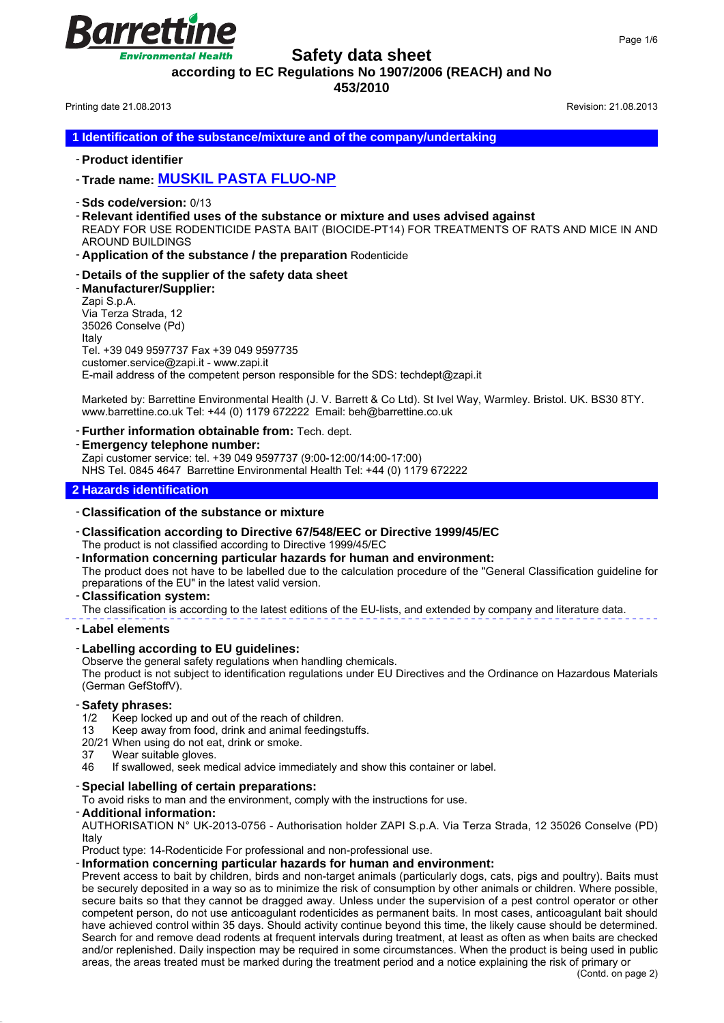**Safety data sheet**

**according to EC Regulations No 1907/2006 (REACH) and No**

**453/2010**

Printing date 21.08.2013 **Revision: 21.08.2013** Revision: 21.08.2013

arro

Environmental Health

**1 Identification of the substance/mixture and of the company/undertaking**

- **Product identifier**

- **Trade name: MUSKIL PASTA FLUO-NP**

- **Sds code/version:** 0/13
- **Relevant identified uses of the substance or mixture and uses advised against** READY FOR USE RODENTICIDE PASTA BAIT (BIOCIDE-PT14) FOR TREATMENTS OF RATS AND MICE IN AND AROUND BUILDINGS

- **Application of the substance / the preparation** Rodenticide

- **Details of the supplier of the safety data sheet**
- **Manufacturer/Supplier:**

Zapi S.p.A. Via Terza Strada, 12 35026 Conselve (Pd) Italy Tel. +39 049 9597737 Fax +39 049 9597735 customer.service@zapi.it - www.zapi.it E-mail address of the competent person responsible for the SDS: techdept@zapi.it

Marketed by: Barrettine Environmental Health (J. V. Barrett & Co Ltd). St Ivel Way, Warmley. Bristol. UK. BS30 8TY. www.barrettine.co.uk Tel: +44 (0) 1179 672222 Email: beh@barrettine.co.uk

- **Further information obtainable from:** Tech. dept.
- **Emergency telephone number:**

Zapi customer service: tel. +39 049 9597737 (9:00-12:00/14:00-17:00) NHS Tel. 0845 4647 Barrettine Environmental Health Tel: +44 (0) 1179 672222

### **2 Hazards identification**

### - **Classification of the substance or mixture**

- **Classification according to Directive 67/548/EEC or Directive 1999/45/EC** The product is not classified according to Directive 1999/45/EC
- **Information concerning particular hazards for human and environment:** The product does not have to be labelled due to the calculation procedure of the "General Classification guideline for preparations of the EU" in the latest valid version.

### - **Classification system:**

The classification is according to the latest editions of the EU-lists, and extended by company and literature data.

### - **Label elements**

### - **Labelling according to EU guidelines:**

Observe the general safety regulations when handling chemicals. The product is not subject to identification regulations under EU Directives and the Ordinance on Hazardous Materials (German GefStoffV).

### - **Safety phrases:**

- 1/2 Keep locked up and out of the reach of children.
- 13 Keep away from food, drink and animal feedingstuffs.
- 20/21 When using do not eat, drink or smoke.
- 37 Wear suitable gloves.
- 46 If swallowed, seek medical advice immediately and show this container or label.

### - **Special labelling of certain preparations:**

To avoid risks to man and the environment, comply with the instructions for use.

### - **Additional information:**

AUTHORISATION N° UK-2013-0756 - Authorisation holder ZAPI S.p.A. Via Terza Strada, 12 35026 Conselve (PD) Italy

Product type: 14-Rodenticide For professional and non-professional use.

### - **Information concerning particular hazards for human and environment:**

Prevent access to bait by children, birds and non-target animals (particularly dogs, cats, pigs and poultry). Baits must be securely deposited in a way so as to minimize the risk of consumption by other animals or children. Where possible, secure baits so that they cannot be dragged away. Unless under the supervision of a pest control operator or other competent person, do not use anticoagulant rodenticides as permanent baits. In most cases, anticoagulant bait should have achieved control within 35 days. Should activity continue beyond this time, the likely cause should be determined. Search for and remove dead rodents at frequent intervals during treatment, at least as often as when baits are checked and/or replenished. Daily inspection may be required in some circumstances. When the product is being used in public areas, the areas treated must be marked during the treatment period and a notice explaining the risk of primary or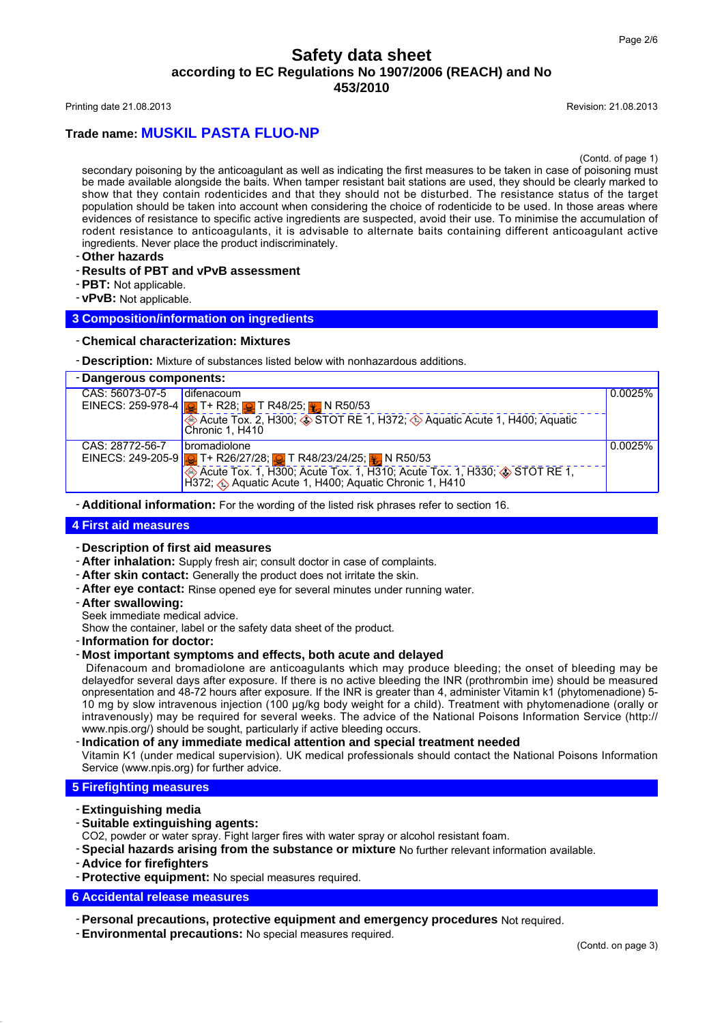Printing date 21.08.2013 **Revision: 21.08.2013** Revision: 21.08.2013

# **Trade name: MUSKIL PASTA FLUO-NP**

(Contd. of page 1)

secondary poisoning by the anticoagulant as well as indicating the first measures to be taken in case of poisoning must be made available alongside the baits. When tamper resistant bait stations are used, they should be clearly marked to show that they contain rodenticides and that they should not be disturbed. The resistance status of the target population should be taken into account when considering the choice of rodenticide to be used. In those areas where evidences of resistance to specific active ingredients are suspected, avoid their use. To minimise the accumulation of rodent resistance to anticoagulants, it is advisable to alternate baits containing different anticoagulant active ingredients. Never place the product indiscriminately.

- **Other hazards**
- **Results of PBT and vPvB assessment**
- **PBT:** Not applicable.
- **vPvB:** Not applicable.

### **3 Composition/information on ingredients**

- **Chemical characterization: Mixtures**
- **Description:** Mixture of substances listed below with nonhazardous additions.

| - Dangerous components: |                                                                                                                                                         |         |
|-------------------------|---------------------------------------------------------------------------------------------------------------------------------------------------------|---------|
| CAS: 56073-07-5         | difenacoum                                                                                                                                              | 0.0025% |
|                         | EINECS: 259-978-4 $\frac{1}{2}$ T + R28; $\frac{1}{2}$ T R48/25; $\frac{1}{2}$ N R50/53                                                                 |         |
|                         | Acute Tox. 2, H300; STOT RE 1, H372; SAquatic Acute 1, H400; Aquatic                                                                                    |         |
|                         | Chronic 1. H410                                                                                                                                         |         |
| CAS: 28772-56-7         | bromadiolone                                                                                                                                            | 0.0025% |
|                         | EINECS: 249-205-9 <b>3</b> T+ R26/27/28; 3 T R48/23/24/25; 3 N R50/53                                                                                   |         |
|                         | Acute Tox. 1, H300; Acute Tox. 1, H310; Acute Tox. 1, H330; $\circledast$ STOT RE 1, H372; $\circledast$ Aquatic Acute 1, H400; Aquatic Chronic 1, H410 |         |
|                         |                                                                                                                                                         |         |

- **Additional information:** For the wording of the listed risk phrases refer to section 16.

### **4 First aid measures**

- **Description of first aid measures**
- **After inhalation:** Supply fresh air; consult doctor in case of complaints.
- **After skin contact:** Generally the product does not irritate the skin.
- **After eye contact:** Rinse opened eye for several minutes under running water.
- **After swallowing:**

Seek immediate medical advice.

Show the container, label or the safety data sheet of the product.

- **Information for doctor:**

#### - **Most important symptoms and effects, both acute and delayed**

 Difenacoum and bromadiolone are anticoagulants which may produce bleeding; the onset of bleeding may be delayedfor several days after exposure. If there is no active bleeding the INR (prothrombin ime) should be measured onpresentation and 48-72 hours after exposure. If the INR is greater than 4, administer Vitamin k1 (phytomenadione) 5- 10 mg by slow intravenous injection (100 μg/kg body weight for a child). Treatment with phytomenadione (orally or intravenously) may be required for several weeks. The advice of the National Poisons Information Service (http:// www.npis.org/) should be sought, particularly if active bleeding occurs.

#### - **Indication of any immediate medical attention and special treatment needed**

Vitamin K1 (under medical supervision). UK medical professionals should contact the National Poisons Information Service (www.npis.org) for further advice.

#### **5 Firefighting measures**

- **Extinguishing media**
- **Suitable extinguishing agents:**

CO2, powder or water spray. Fight larger fires with water spray or alcohol resistant foam.

- **Special hazards arising from the substance or mixture** No further relevant information available.
- **Advice for firefighters**
- **Protective equipment:** No special measures required.

### **6 Accidental release measures**

- **Personal precautions, protective equipment and emergency procedures** Not required.
- **Environmental precautions:** No special measures required.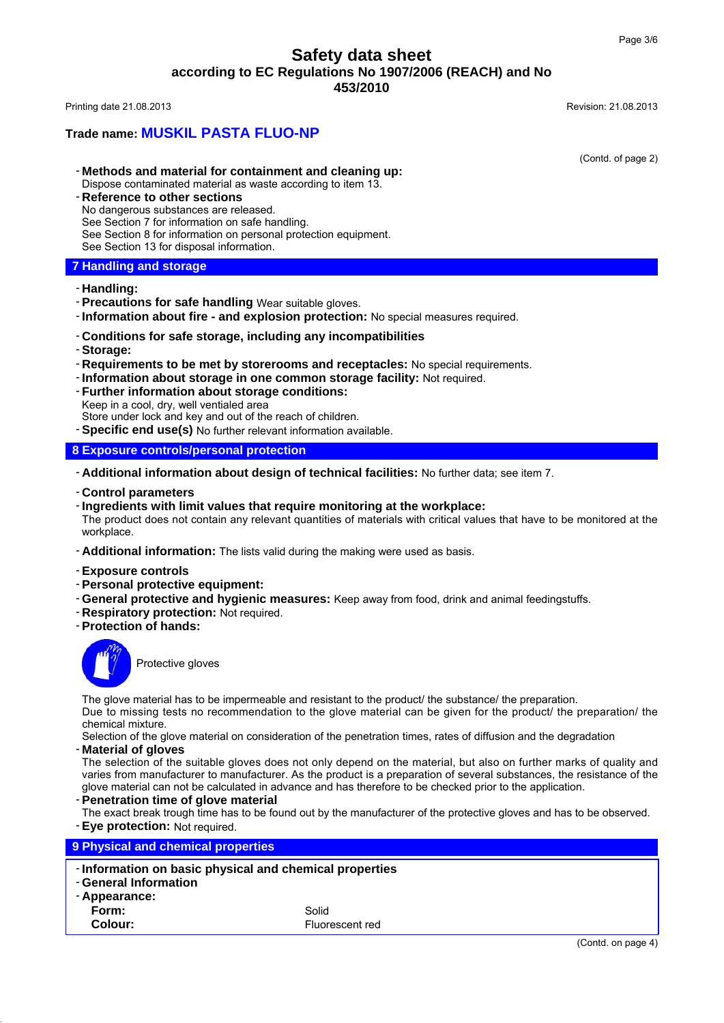### **Trade name: MUSKIL PASTA FLUO-NP**

(Contd. of page 2)

- **Methods and material for containment and cleaning up:** Dispose contaminated material as waste according to item 13.
- **Reference to other sections** No dangerous substances are released. See Section 7 for information on safe handling.
- See Section 8 for information on personal protection equipment.
- See Section 13 for disposal information.

### **7 Handling and storage**

#### - **Handling:**

- **Precautions for safe handling** Wear suitable gloves.
- **Information about fire and explosion protection:** No special measures required.

### - **Conditions for safe storage, including any incompatibilities**

- **Storage:**
- **Requirements to be met by storerooms and receptacles:** No special requirements.
- **Information about storage in one common storage facility:** Not required.
- **Further information about storage conditions:** Keep in a cool, dry, well ventialed area

Store under lock and key and out of the reach of children.

- **Specific end use(s)** No further relevant information available.

### **8 Exposure controls/personal protection**

- **Additional information about design of technical facilities:** No further data; see item 7.
- **Control parameters**

#### - **Ingredients with limit values that require monitoring at the workplace:**

The product does not contain any relevant quantities of materials with critical values that have to be monitored at the workplace.

- **Additional information:** The lists valid during the making were used as basis.
- **Exposure controls**
- **Personal protective equipment:**
- **General protective and hygienic measures:** Keep away from food, drink and animal feedingstuffs.
- **Respiratory protection:** Not required.
- **Protection of hands:**



Protective gloves

The glove material has to be impermeable and resistant to the product/ the substance/ the preparation.

Due to missing tests no recommendation to the glove material can be given for the product/ the preparation/ the chemical mixture.

Selection of the glove material on consideration of the penetration times, rates of diffusion and the degradation

- **Material of gloves**

The selection of the suitable gloves does not only depend on the material, but also on further marks of quality and varies from manufacturer to manufacturer. As the product is a preparation of several substances, the resistance of the glove material can not be calculated in advance and has therefore to be checked prior to the application.

- **Penetration time of glove material**
- The exact break trough time has to be found out by the manufacturer of the protective gloves and has to be observed.

- **Eye protection:** Not required.

**9 Physical and chemical properties** - **Information on basic physical and chemical properties** - **General Information** - **Appearance: Form:** Solid **Colour:** Fluorescent red (Contd. on page 4)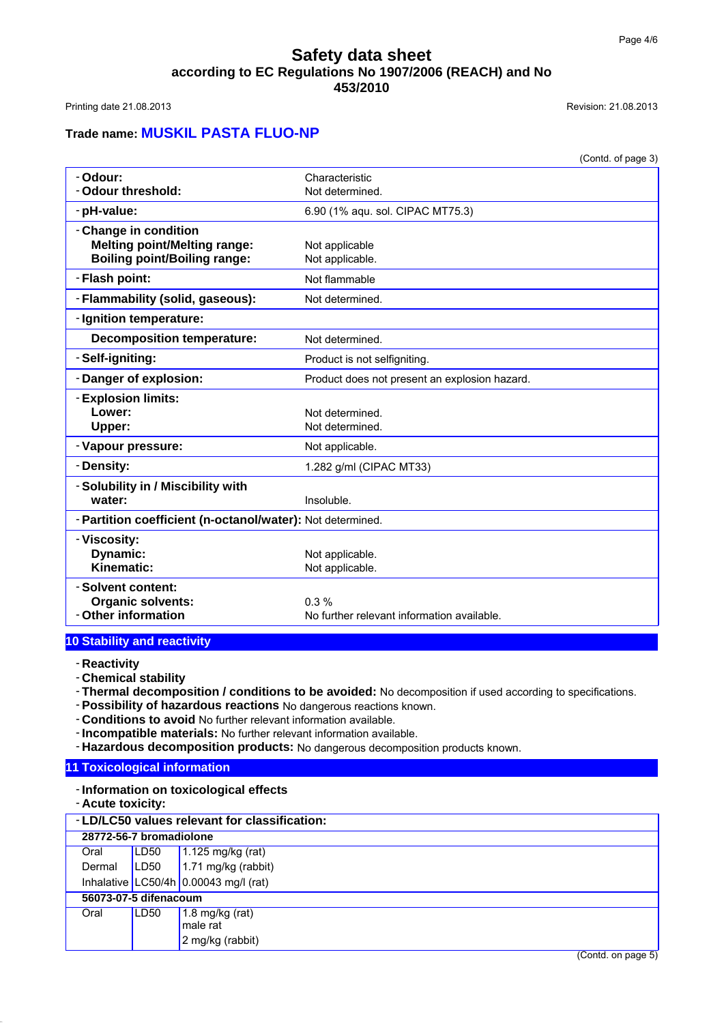Printing date 21.08.2013 **Revision: 21.08.2013** Revision: 21.08.2013

# **Trade name: MUSKIL PASTA FLUO-NP**

|                                                            | (Contd. of page 3)                            |
|------------------------------------------------------------|-----------------------------------------------|
| - Odour:                                                   | Characteristic                                |
| - Odour threshold:                                         | Not determined.                               |
| - pH-value:                                                | 6.90 (1% aqu. sol. CIPAC MT75.3)              |
| - Change in condition                                      |                                               |
| <b>Melting point/Melting range:</b>                        | Not applicable                                |
| <b>Boiling point/Boiling range:</b>                        | Not applicable.                               |
| - Flash point:                                             | Not flammable                                 |
| - Flammability (solid, gaseous):                           | Not determined.                               |
| - Ignition temperature:                                    |                                               |
| <b>Decomposition temperature:</b>                          | Not determined.                               |
| - Self-igniting:                                           | Product is not selfigniting.                  |
| - Danger of explosion:                                     | Product does not present an explosion hazard. |
| - Explosion limits:                                        |                                               |
| Lower:                                                     | Not determined.                               |
| Upper:                                                     | Not determined.                               |
| - Vapour pressure:                                         | Not applicable.                               |
| - Density:                                                 | 1.282 g/ml (CIPAC MT33)                       |
| - Solubility in / Miscibility with                         |                                               |
| water:                                                     | Insoluble.                                    |
| - Partition coefficient (n-octanol/water): Not determined. |                                               |
| - Viscosity:                                               |                                               |
| Dynamic:                                                   | Not applicable.                               |
| Kinematic:                                                 | Not applicable.                               |
| - Solvent content:                                         |                                               |
| <b>Organic solvents:</b>                                   | $0.3\%$                                       |
| - Other information                                        | No further relevant information available.    |
|                                                            |                                               |

### **10 Stability and reactivity**

- **Reactivity**

- **Chemical stability**
- **Thermal decomposition / conditions to be avoided:** No decomposition if used according to specifications.
- **Possibility of hazardous reactions** No dangerous reactions known.
- **Conditions to avoid** No further relevant information available.
- **Incompatible materials:** No further relevant information available.
- **Hazardous decomposition products:** No dangerous decomposition products known.

## **11 Toxicological information**

- **Information on toxicological effects**

- **Acute toxicity:**

| - LD/LC50 values relevant for classification: |                         |                                         |
|-----------------------------------------------|-------------------------|-----------------------------------------|
|                                               | 28772-56-7 bromadiolone |                                         |
| Oral                                          | LD50                    | 1.125 mg/kg (rat)                       |
| Dermal                                        | LD50                    | 1.71 mg/kg (rabbit)                     |
|                                               |                         | Inhalative $LC50/4h$ 0.00043 mg/l (rat) |
|                                               | 56073-07-5 difenacoum   |                                         |
| Oral                                          | LD50                    | 1.8 mg/kg (rat)<br>male rat             |
|                                               |                         | 2 mg/kg (rabbit)                        |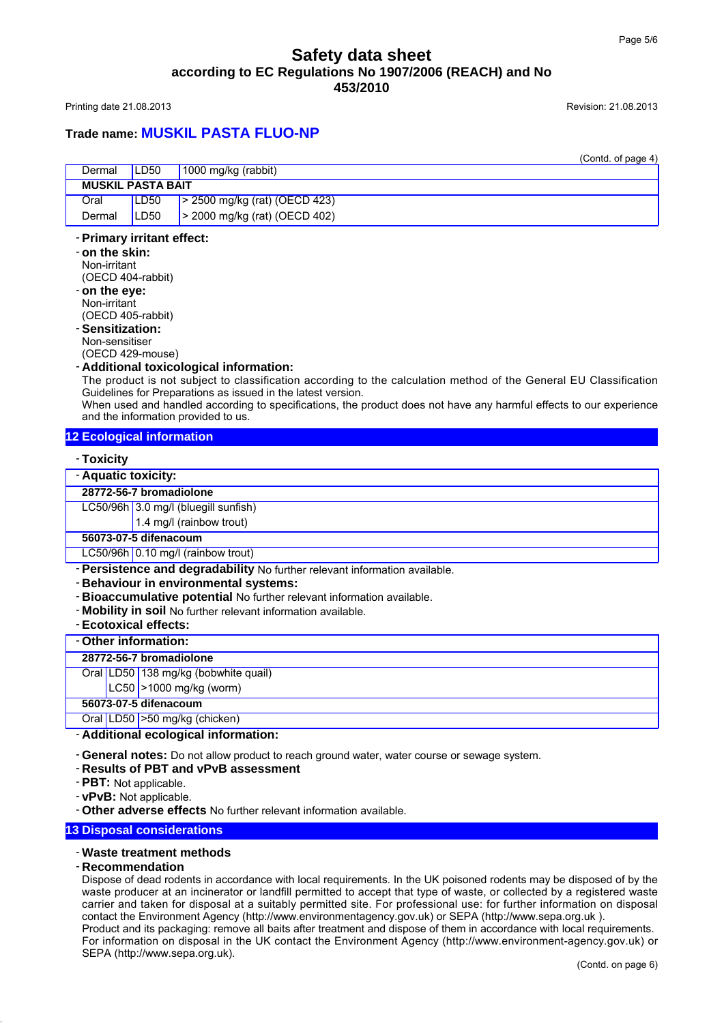Printing date 21.08.2013 **Revision: 21.08.2013** Revision: 21.08.2013

# **Trade name: MUSKIL PASTA FLUO-NP**

|                          |                  | (Contd. of page 4)                    |
|--------------------------|------------------|---------------------------------------|
| Dermal                   | LD <sub>50</sub> | $1000$ mg/kg (rabbit)                 |
| <b>MUSKIL PASTA BAIT</b> |                  |                                       |
| Oral                     | LD50             | $\vert$ > 2500 mg/kg (rat) (OECD 423) |
| Dermal                   | LD50             | > 2000 mg/kg (rat) (OECD 402)         |
|                          |                  |                                       |

### - **Primary irritant effect:**

- **on the skin:** Non-irritant (OECD 404-rabbit)
- **on the eye:**
- Non-irritant (OECD 405-rabbit)
- **Sensitization:**
- Non-sensitiser
- (OECD 429-mouse)

### - **Additional toxicological information:**

The product is not subject to classification according to the calculation method of the General EU Classification Guidelines for Preparations as issued in the latest version.

When used and handled according to specifications, the product does not have any harmful effects to our experience and the information provided to us.

### **12 Ecological information**

### - **Toxicity**

| - Aquatic toxicity:     |                                      |  |
|-------------------------|--------------------------------------|--|
| 28772-56-7 bromadiolone |                                      |  |
|                         | LC50/96h 3.0 mg/l (bluegill sunfish) |  |
|                         | $1.4 \text{ mg/l}$ (rainbow trout)   |  |
| 56073-07-5 difenacoum   |                                      |  |
|                         | LC50/96h 0.10 mg/l (rainbow trout)   |  |

- **Persistence and degradability** No further relevant information available.
- **Behaviour in environmental systems:**
- **Bioaccumulative potential** No further relevant information available.
- **Mobility in soil** No further relevant information available.
- **Ecotoxical effects:**

### - **Other information:**

| 28772-56-7 bromadiolone |  |
|-------------------------|--|

Oral LD50 138 mg/kg (bobwhite quail)

 $LC50$  >1000 mg/kg (worm)

### **56073-07-5 difenacoum**

Oral LD50 >50 mg/kg (chicken)

- **Additional ecological information:**

- **General notes:** Do not allow product to reach ground water, water course or sewage system.

- **Results of PBT and vPvB assessment**
- **PBT:** Not applicable.
- **vPvB:** Not applicable.
- **Other adverse effects** No further relevant information available.

### **13 Disposal considerations**

### - **Waste treatment methods**

- **Recommendation**

Dispose of dead rodents in accordance with local requirements. In the UK poisoned rodents may be disposed of by the waste producer at an incinerator or landfill permitted to accept that type of waste, or collected by a registered waste carrier and taken for disposal at a suitably permitted site. For professional use: for further information on disposal contact the Environment Agency (http://www.environmentagency.gov.uk) or SEPA (http://www.sepa.org.uk ). Product and its packaging: remove all baits after treatment and dispose of them in accordance with local requirements.

For information on disposal in the UK contact the Environment Agency (http://www.environment-agency.gov.uk) or SEPA (http://www.sepa.org.uk).